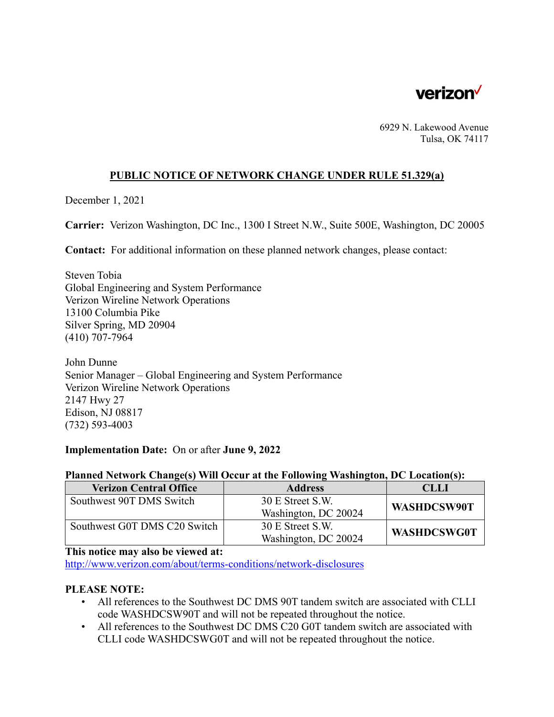

6929 N. Lakewood Avenue Tulsa, OK 74117

### **PUBLIC NOTICE OF NETWORK CHANGE UNDER RULE 51.329(a)**

December 1, 2021

**Carrier:** Verizon Washington, DC Inc., 1300 I Street N.W., Suite 500E, Washington, DC 20005

**Contact:** For additional information on these planned network changes, please contact:

Steven Tobia Global Engineering and System Performance Verizon Wireline Network Operations 13100 Columbia Pike Silver Spring, MD 20904 (410) 707-7964

John Dunne Senior Manager – Global Engineering and System Performance Verizon Wireline Network Operations 2147 Hwy 27 Edison, NJ 08817 (732) 593-4003

#### **Implementation Date:** On or after **June 9, 2022**

# **Planned Network Change(s) Will Occur at the Following Washington, DC Location(s):**

| <b>Verizon Central Office</b> | <b>Address</b>       | <b>CLLI</b>        |
|-------------------------------|----------------------|--------------------|
| Southwest 90T DMS Switch      | 30 E Street S.W.     | WASHDCSW90T        |
|                               | Washington, DC 20024 |                    |
| Southwest G0T DMS C20 Switch  | 30 E Street S.W.     |                    |
|                               | Washington, DC 20024 | <b>WASHDCSWG0T</b> |

### **This notice may also be viewed at:**

 <http://www.verizon.com/about/terms-conditions/network-disclosures>

## **PLEASE NOTE:**

- All references to the Southwest DC DMS 90T tandem switch are associated with CLLI code WASHDCSW90T and will not be repeated throughout the notice.
- All references to the Southwest DC DMS C20 G0T tandem switch are associated with CLLI code WASHDCSWG0T and will not be repeated throughout the notice.